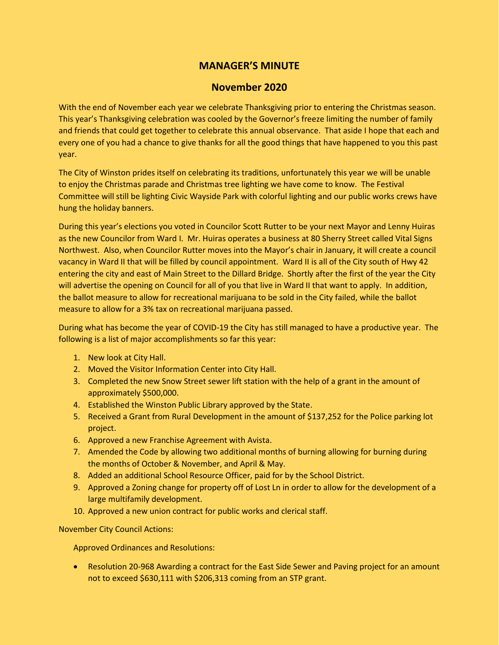## **MANAGER'S MINUTE**

## **November 2020**

With the end of November each year we celebrate Thanksgiving prior to entering the Christmas season. This year's Thanksgiving celebration was cooled by the Governor's freeze limiting the number of family and friends that could get together to celebrate this annual observance. That aside I hope that each and every one of you had a chance to give thanks for all the good things that have happened to you this past year.

The City of Winston prides itself on celebrating its traditions, unfortunately this year we will be unable to enjoy the Christmas parade and Christmas tree lighting we have come to know. The Festival Committee will still be lighting Civic Wayside Park with colorful lighting and our public works crews have hung the holiday banners.

During this year's elections you voted in Councilor Scott Rutter to be your next Mayor and Lenny Huiras as the new Councilor from Ward I. Mr. Huiras operates a business at 80 Sherry Street called Vital Signs Northwest. Also, when Councilor Rutter moves into the Mayor's chair in January, it will create a council vacancy in Ward II that will be filled by council appointment. Ward II is all of the City south of Hwy 42 entering the city and east of Main Street to the Dillard Bridge. Shortly after the first of the year the City will advertise the opening on Council for all of you that live in Ward II that want to apply. In addition, the ballot measure to allow for recreational marijuana to be sold in the City failed, while the ballot measure to allow for a 3% tax on recreational marijuana passed.

During what has become the year of COVID-19 the City has still managed to have a productive year. The following is a list of major accomplishments so far this year:

- 1. New look at City Hall.
- 2. Moved the Visitor Information Center into City Hall.
- 3. Completed the new Snow Street sewer lift station with the help of a grant in the amount of approximately \$500,000.
- 4. Established the Winston Public Library approved by the State.
- 5. Received a Grant from Rural Development in the amount of \$137,252 for the Police parking lot project.
- 6. Approved a new Franchise Agreement with Avista.
- 7. Amended the Code by allowing two additional months of burning allowing for burning during the months of October & November, and April & May.
- 8. Added an additional School Resource Officer, paid for by the School District.
- 9. Approved a Zoning change for property off of Lost Ln in order to allow for the development of a large multifamily development.
- 10. Approved a new union contract for public works and clerical staff.

November City Council Actions:

Approved Ordinances and Resolutions:

 Resolution 20-968 Awarding a contract for the East Side Sewer and Paving project for an amount not to exceed \$630,111 with \$206,313 coming from an STP grant.